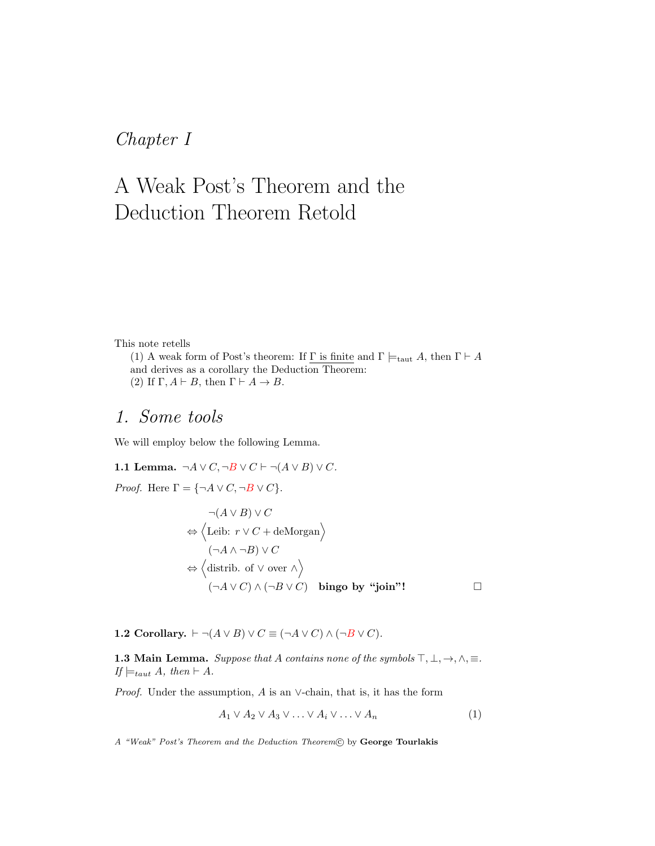## Chapter I

# A Weak Post's Theorem and the Deduction Theorem Retold

### This note retells

(1) A weak form of Post's theorem: If  $\Gamma$  is finite and  $\Gamma \models_{\text{taut}} A$ , then  $\Gamma \vdash A$ and derives as a corollary the Deduction Theorem: (2) If  $\Gamma, A \vdash B$ , then  $\Gamma \vdash A \rightarrow B$ .

### 1. Some tools

<span id="page-0-1"></span>We will employ below the following Lemma.

1.1 Lemma. 
$$
\neg A \lor C, \neg B \lor C \vdash \neg (A \lor B) \lor C
$$
.  
\n*Proof.* Here  $\Gamma = \{\neg A \lor C, \neg B \lor C\}$ .  
\n $\neg (A \lor B) \lor C$   
\n $\Leftrightarrow \langle$  Leib:  $r \lor C +$  deMorgan  
\n $(\neg A \land \neg B) \lor C$   
\n $\Leftrightarrow \langle$  distrib. of  $\lor$  over  $\land$   
\n $(\neg A \lor C) \land (\neg B \lor C)$  bingo by "join"!

<span id="page-0-0"></span>1.2 Corollary.  $\vdash \neg(A \lor B) \lor C \equiv (\neg A \lor C) \land (\neg B \lor C)$ .

<span id="page-0-2"></span>**1.3 Main Lemma.** Suppose that A contains none of the symbols  $\top, \bot, \rightarrow, \land, \equiv$ . If  $\models_{taut} A, then \vdash A.$ 

*Proof.* Under the assumption,  $A$  is an  $\vee$ -chain, that is, it has the form

$$
A_1 \vee A_2 \vee A_3 \vee \ldots \vee A_i \vee \ldots \vee A_n \tag{1}
$$

A "Weak" Post's Theorem and the Deduction Theorem C by George Tourlakis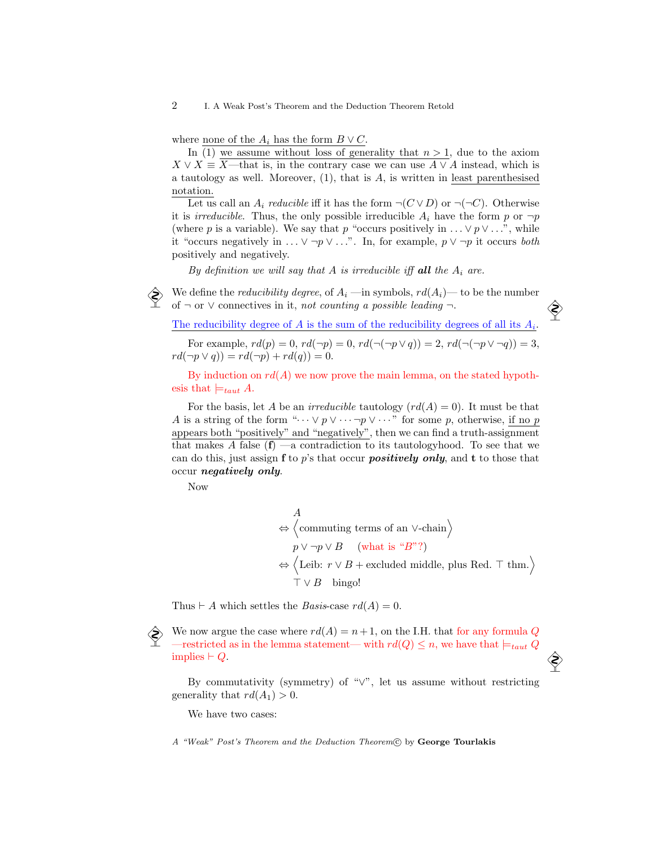2 I. A Weak Post's Theorem and the Deduction Theorem Retold

where none of the  $A_i$  has the form  $B \vee C$ .

In  $(1)$  we assume without loss of generality that  $n > 1$ , due to the axiom  $X \vee X \equiv \overline{X}$ —that is, in the contrary case we can use  $\overline{A} \vee \overline{A}$  instead, which is a tautology as well. Moreover,  $(1)$ , that is A, is written in least parenthesised notation.

Let us call an  $A_i$  reducible iff it has the form  $\neg(C \vee D)$  or  $\neg(\neg C)$ . Otherwise it is *irreducible*. Thus, the only possible irreducible  $A_i$  have the form p or  $\neg p$ (where p is a variable). We say that p "occurs positively in  $\ldots \vee p \vee \ldots$ ", while it "occurs negatively in  $\ldots \vee \neg p \vee \ldots$ ". In, for example,  $p \vee \neg p$  it occurs both positively and negatively.

By definition we will say that A is irreducible iff all the  $A_i$  are.

We define the *reducibility degree*, of  $A_i$  —in symbols,  $rd(A_i)$ — to be the number of  $\neg$  or  $\vee$  connectives in it, not counting a possible leading  $\neg$ .

The reducibility degree of  $A$  is the sum of the reducibility degrees of all its  $A_i$ .

For example,  $rd(p) = 0$ ,  $rd(\neg p) = 0$ ,  $rd(\neg(\neg p \lor q)) = 2$ ,  $rd(\neg(\neg p \lor \neg q)) = 3$ ,  $rd(\neg p \lor q)) = rd(\neg p) + rd(q)) = 0.$ 

By induction on  $rd(A)$  we now prove the main lemma, on the stated hypothesis that  $\models_{taut} A$ .

For the basis, let A be an *irreducible* tautology  $\left( rd(A) = 0\right)$ . It must be that A is a string of the form " $\cdots \vee p \vee \cdots \neg p \vee \cdots$ " for some p, otherwise, if no p appears both "positively" and "negatively", then we can find a truth-assignment that makes A false  $(f)$  —a contradiction to its tautologyhood. To see that we can do this, just assign  $f$  to p's that occur *positively only*, and  $t$  to those that occur negatively only.

Now

A  $\Leftrightarrow \langle$  commuting terms of an ∨-chain $\rangle$  $p \vee \neg p \vee B$  (what is "B"?)  $\Leftrightarrow$   $\langle$ Leib:  $r \vee B +$  excluded middle, plus Red. ⊤ thm. $\rangle$  $\top \vee B$  bingo!

Thus  $\vdash A$  which settles the *Basis*-case  $rd(A) = 0$ .

We now argue the case where  $rd(A) = n+1$ , on the I.H. that for any formula Q —restricted as in the lemma statement— with  $rd(Q) \leq n$ , we have that  $\models_{taut} Q$ implies  $\vdash Q$ .

By commutativity (symmetry) of "∨", let us assume without restricting generality that  $rd(A_1) > 0$ .

We have two cases:

A "Weak" Post's Theorem and the Deduction Theorem(C) by George Tourlakis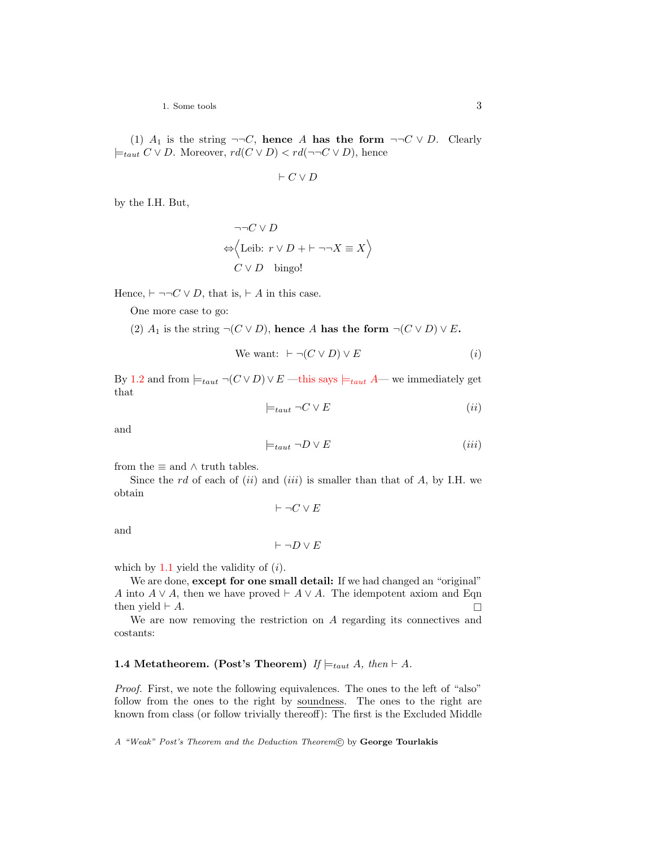1. Some tools 3

(1)  $A_1$  is the string  $\neg\neg C$ , hence A has the form  $\neg\neg C \vee D$ . Clearly  $\models_{taut} C ∨ D$ . Moreover,  $rd(C ∨ D) < rd(¬¬C ∨ D)$ , hence

$$
\vdash C \lor D
$$

by the I.H. But,

$$
\neg \neg C \lor D
$$
  

$$
\Leftrightarrow \Big\langle \text{Leib: } r \lor D + \vdash \neg \neg X \equiv X \Big\rangle
$$
  

$$
C \lor D \quad \text{bingo!}
$$

Hence,  $\vdash \neg\neg C \lor D$ , that is,  $\vdash A$  in this case.

One more case to go:

(2)  $A_1$  is the string  $\neg(C \vee D)$ , hence A has the form  $\neg(C \vee D) \vee E$ .

We want: 
$$
\vdash \neg(C \lor D) \lor E
$$
 (i)

By [1.2](#page-0-0) and from  $\models_{taut} \neg(C \vee D) \vee E$  —this says  $\models_{taut} A$ — we immediately get that

$$
\models_{taut} \neg C \lor E \tag{ii}
$$

and

$$
\models_{taut} \neg D \lor E \tag{iii}
$$

from the  $\equiv$  and  $\wedge$  truth tables.

Since the rd of each of  $(ii)$  and  $(iii)$  is smaller than that of A, by I.H. we obtain

 $\vdash \neg C \vee E$ 

and

$$
\vdash \neg D \lor E
$$

which by  $1.1$  yield the validity of  $(i)$ .

We are done, except for one small detail: If we had changed an "original" A into  $A \vee A$ , then we have proved  $\vdash A \vee A$ . The idempotent axiom and Eqn then yield  $\vdash A$ .

<span id="page-2-0"></span>We are now removing the restriction on A regarding its connectives and costants:

#### **1.4 Metatheorem. (Post's Theorem)** If  $\models_{taut} A$ , then  $\models A$ .

Proof. First, we note the following equivalences. The ones to the left of "also" follow from the ones to the right by soundness. The ones to the right are known from class (or follow trivially thereoff): The first is the Excluded Middle

A "Weak" Post's Theorem and the Deduction Theorem(C) by George Tourlakis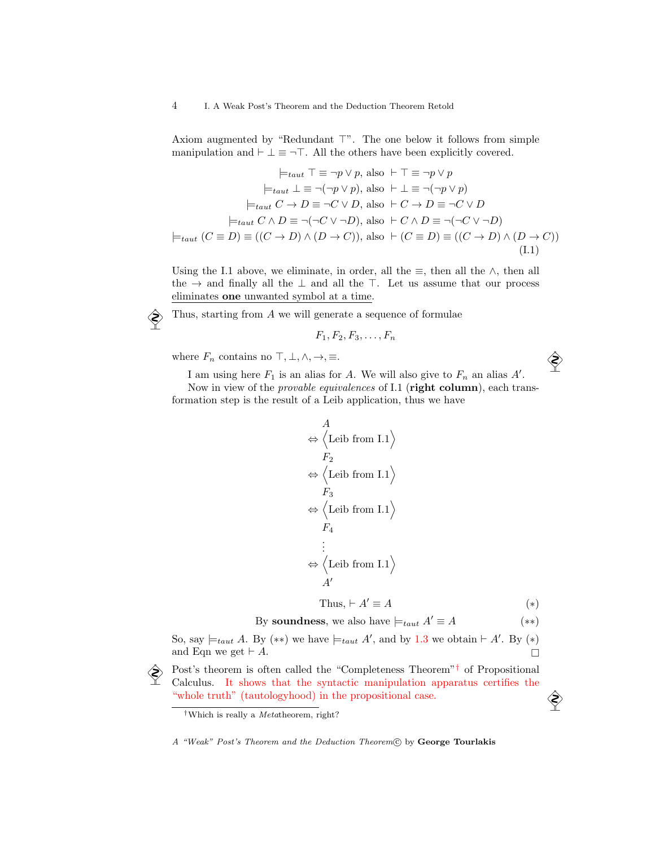Axiom augmented by "Redundant  $\top$ ". The one below it follows from simple manipulation and  $\vdash \bot \equiv \neg \top$ . All the others have been explicitly covered.

$$
\models_{taut} \top \equiv \neg p \lor p, \text{ also } \vdash \top \equiv \neg p \lor p
$$

$$
\models_{taut} \bot \equiv \neg(\neg p \lor p), \text{ also } \vdash \bot \equiv \neg(\neg p \lor p)
$$

$$
\models_{taut} C \to D \equiv \neg C \lor D, \text{ also } \vdash C \to D \equiv \neg C \lor D
$$

$$
\models_{taut} C \land D \equiv \neg(\neg C \lor \neg D), \text{ also } \vdash C \land D \equiv \neg(\neg C \lor \neg D)
$$

$$
\models_{taut} (C \equiv D) \equiv ((C \to D) \land (D \to C)), \text{ also } \vdash (C \equiv D) \equiv ((C \to D) \land (D \to C))
$$
(I.1)

Using the I.1 above, we eliminate, in order, all the  $\equiv$ , then all the  $\land$ , then all the  $\rightarrow$  and finally all the  $\perp$  and all the  $\perp$ . Let us assume that our process eliminates one unwanted symbol at a time.

 $\diamondsuit$  Thus, starting from A we will generate a sequence of formulae

$$
F_1, F_2, F_3, \ldots, F_n
$$

where  $F_n$  contains no  $\top, \bot, \wedge, \rightarrow, \equiv.$ 

I am using here  $F_1$  is an alias for A. We will also give to  $F_n$  an alias  $A'$ .

Now in view of the *provable equivalences* of I.1 (right column), each transformation step is the result of a Leib application, thus we have

$$
\begin{aligned}\n &\stackrel{A}{\Leftrightarrow} \left\langle \text{Leib from I.1} \right\rangle \\
&F_2 \\
&\Leftrightarrow \left\langle \text{Leib from I.1} \right\rangle \\
&F_3 \\
&\Leftrightarrow \left\langle \text{Leib from I.1} \right\rangle \\
&F_4 \\
&\vdots \\
&\Leftrightarrow \left\langle \text{Leib from I.1} \right\rangle \\
&A'\n\end{aligned}
$$

Thus,  $\vdash A' \equiv A$  (\*)

By **soundness**, we also have  $\models_{taut} A' \equiv A$  (\*\*)

So, say  $\models_{taut} A$ . By  $(**)$  we have  $\models_{taut} A'$ , and by [1.3](#page-0-2) we obtain  $\vdash A'$ . By  $(*)$ and Eqn we get  $\vdash A$ .

Post's theorem is often called the "Completeness Theorem"<sup>[†](#page-3-0)</sup> of Propositional Colculus It shows that the syntactic manipulation apparatus certifies the Calculus. It shows that the syntactic manipulation apparatus certifies the "whole truth" (tautologyhood) in the propositional case.

<span id="page-3-0"></span><sup>†</sup>Which is really a Metatheorem, right?

A "Weak" Post's Theorem and the Deduction Theorem(C) by George Tourlakis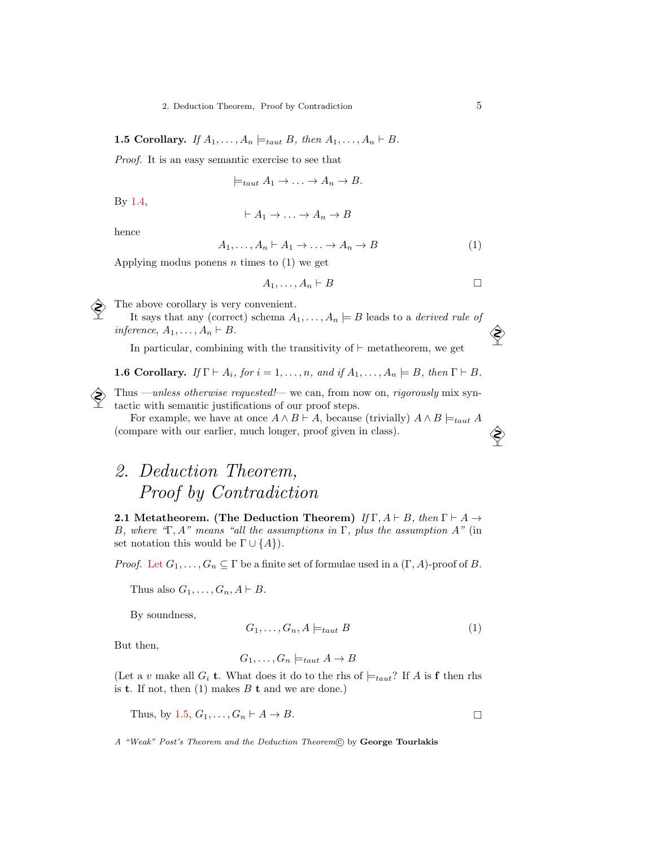<span id="page-4-0"></span>**1.5 Corollary.** If  $A_1, \ldots, A_n \models_{taut} B$ , then  $A_1, \ldots, A_n \vdash B$ .

Proof. It is an easy semantic exercise to see that

$$
\models_{taut} A_1 \rightarrow \ldots \rightarrow A_n \rightarrow B.
$$

By [1.4,](#page-2-0)

$$
\vdash A_1 \to \ldots \to A_n \to B
$$

hence

$$
A_1, \dots, A_n \vdash A_1 \to \dots \to A_n \to B \tag{1}
$$

Applying modus ponens  $n$  times to  $(1)$  we get

<span id="page-4-2"></span>
$$
A_1,\ldots,A_n\vdash B
$$

The above corollary is very convenient.

It says that any (correct) schema  $A_1, \ldots, A_n \models B$  leads to a *derived rule of* inference,  $A_1, \ldots, A_n \vdash B$ .

In particular, combining with the transitivity of  $\vdash$  metatheorem, we get

**1.6 Corollary.** If  $\Gamma \vdash A_i$ , for  $i = 1, ..., n$ , and if  $A_1, ..., A_n \models B$ , then  $\Gamma \vdash B$ .

Thus —unless otherwise requested!— we can, from now on, rigorously mix syntactic with semantic justifications of our proof steps.

For example, we have at once  $A \wedge B \vdash A$ , because (trivially)  $A \wedge B \models_{taut} A$ (compare with our earlier, much longer, proof given in class).

# 2. Deduction Theorem, Proof by Contradiction

<span id="page-4-1"></span>2.1 Metatheorem. (The Deduction Theorem) If  $\Gamma$ ,  $A \vdash B$ , then  $\Gamma \vdash A \rightarrow$ B, where "Γ, A" means "all the assumptions in Γ, plus the assumption A" (in set notation this would be  $\Gamma \cup \{A\}$ .

*Proof.* Let  $G_1, \ldots, G_n \subseteq \Gamma$  be a finite set of formulae used in a  $(\Gamma, A)$ -proof of B.

Thus also  $G_1, \ldots, G_n, A \vdash B$ .

By soundness,

$$
G_1, \ldots, G_n, A \models_{taut} B \tag{1}
$$

But then,

$$
G_1, \ldots, G_n \models_{taut} A \to B
$$

(Let a v make all  $G_i$  t. What does it do to the rhs of  $\models_{taut}$ ? If A is f then rhs is **t**. If not, then  $(1)$  makes  $B$  **t** and we are done.)

Thus, by [1.5,](#page-4-0)  $G_1, \ldots, G_n \vdash A \rightarrow B$ .

A "Weak" Post's Theorem and the Deduction Theorem C by George Tourlakis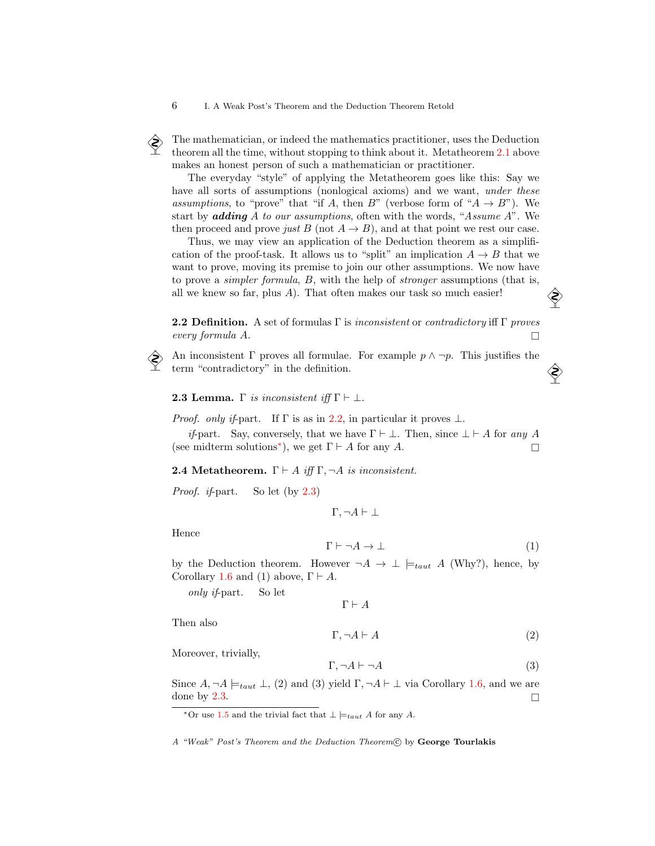The mathematician, or indeed the mathematics practitioner, uses the Deduction<br>theorem all the time without stopping to think about it. Metatheorem 2.1 above theorem all the time, without stopping to think about it. Metatheorem [2.1](#page-4-1) above makes an honest person of such a mathematician or practitioner.

The everyday "style" of applying the Metatheorem goes like this: Say we have all sorts of assumptions (nonlogical axioms) and we want, *under these* assumptions, to "prove" that "if A, then B" (verbose form of " $A \rightarrow B$ "). We start by *adding* A to our assumptions, often with the words, "Assume A". We then proceed and prove just B (not  $A \rightarrow B$ ), and at that point we rest our case.

Thus, we may view an application of the Deduction theorem as a simplification of the proof-task. It allows us to "split" an implication  $A \rightarrow B$  that we want to prove, moving its premise to join our other assumptions. We now have to prove a simpler formula, B, with the help of stronger assumptions (that is, all we knew so far, plus  $A$ ). That often makes our task so much easier!

<span id="page-5-0"></span>**2.2 Definition.** A set of formulas  $\Gamma$  is *inconsistent* or *contradictory* iff  $\Gamma$  proves  $\Box$  every formula A.

An inconsistent  $\Gamma$  proves all formulae. For example  $p \wedge \neg p$ . This justifies the term "contradictory" in the definition.

<span id="page-5-2"></span>**2.3 Lemma.** Γ is inconsistent iff  $\Gamma \vdash \bot$ .

*Proof.* only if-part. If  $\Gamma$  is as in [2.2,](#page-5-0) in particular it proves  $\bot$ .

*if*-part. Say, conversely, that we have  $\Gamma \vdash \bot$ . Then, since  $\bot \vdash A$  for any A (see midterm solutions<sup>\*</sup>), we get  $\Gamma \vdash A$  for any A.

<span id="page-5-3"></span>**2.4 Metatheorem.**  $\Gamma \vdash A$  iff  $\Gamma, \neg A$  is inconsistent.

Proof. if-part. So let (by [2.3\)](#page-5-2)

 $\Gamma, \neg A \vdash \bot$ 

Hence

$$
\Gamma \vdash \neg A \to \bot \tag{1}
$$

by the Deduction theorem. However  $\neg A \rightarrow \bot \models_{taut} A$  (Why?), hence, by Corollary [1.6](#page-4-2) and (1) above,  $\Gamma \vdash A$ .

only if-part. So let

 $\Gamma \vdash A$ 

Then also

 $\Gamma, \neg A \vdash A$  (2)

Moreover, trivially,

$$
\Gamma, \neg A \vdash \neg A \tag{3}
$$

Since  $A, \neg A \models_{taut} \bot$ , (2) and (3) yield  $\Gamma, \neg A \vdash \bot$  via Corollary [1.6,](#page-4-2) and we are done by [2.3.](#page-5-2)

A "Weak" Post's Theorem and the Deduction Theorem C by George Tourlakis

<span id="page-5-1"></span><sup>\*</sup>Or use [1.5](#page-4-0) and the trivial fact that  $\perp \models_{taut} A$  for any A.